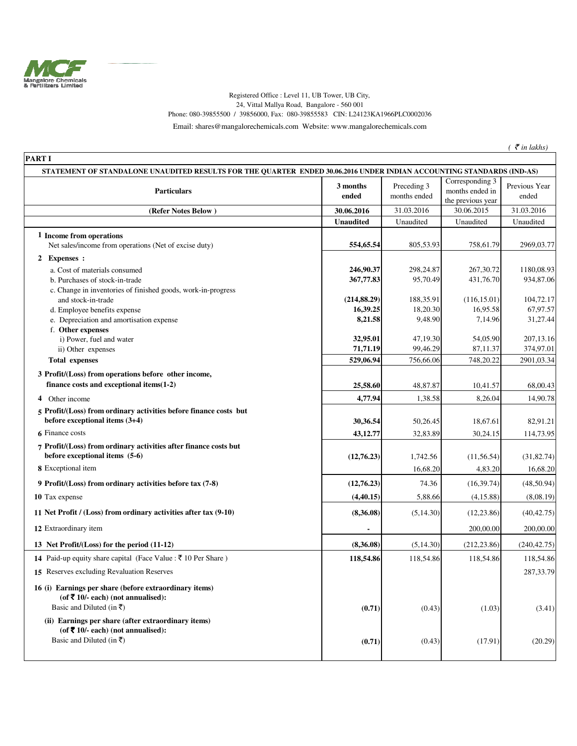

## Registered Office : Level 11, UB Tower, UB City, 24, Vittal Mallya Road, Bangalore - 560 001 Phone: 080-39855500 / 39856000, Fax: 080-39855583 CIN: L24123KA1966PLC0002036

Email: shares@mangalorechemicals.com Website: www.mangalorechemicals.com

 $($   $\bar{\tau}$  *in lakhs*)

| <b>PARTI</b><br>STATEMENT OF STANDALONE UNAUDITED RESULTS FOR THE QUARTER ENDED 30.06.2016 UNDER INDIAN ACCOUNTING STANDARDS (IND-AS) |                          |                       |                                      |                       |
|---------------------------------------------------------------------------------------------------------------------------------------|--------------------------|-----------------------|--------------------------------------|-----------------------|
|                                                                                                                                       | 3 months                 | Preceding 3           | Corresponding 3                      | Previous Year         |
| <b>Particulars</b>                                                                                                                    | ended                    | months ended          | months ended in<br>the previous year | ended                 |
| (Refer Notes Below)                                                                                                                   | 30.06.2016               | 31.03.2016            | 30.06.2015                           | 31.03.2016            |
|                                                                                                                                       | <b>Unaudited</b>         | Unaudited             | Unaudited                            | Unaudited             |
| 1 Income from operations                                                                                                              |                          |                       |                                      |                       |
| Net sales/income from operations (Net of excise duty)                                                                                 | 554,65.54                | 805,53.93             | 758,61.79                            | 2969,03.77            |
| <b>Expenses</b> :<br>2                                                                                                                |                          |                       |                                      |                       |
| a. Cost of materials consumed                                                                                                         | 246,90.37                | 298,24.87             | 267,30.72                            | 1180,08.93            |
| b. Purchases of stock-in-trade                                                                                                        | 367,77.83                | 95,70.49              | 431,76.70                            | 934,87.06             |
| c. Change in inventories of finished goods, work-in-progress                                                                          |                          |                       |                                      |                       |
| and stock-in-trade                                                                                                                    | (214, 88.29)<br>16,39.25 | 188,35.91<br>18,20.30 | (116, 15.01)<br>16,95.58             | 104,72.17<br>67,97.57 |
| d. Employee benefits expense<br>e. Depreciation and amortisation expense                                                              | 8,21.58                  | 9,48.90               | 7,14.96                              | 31,27.44              |
| f. Other expenses                                                                                                                     |                          |                       |                                      |                       |
| i) Power, fuel and water                                                                                                              | 32,95.01                 | 47,19.30              | 54,05.90                             | 207, 13.16            |
| ii) Other expenses                                                                                                                    | 71,71.19                 | 99,46.29              | 87,11.37                             | 374,97.01             |
| <b>Total expenses</b>                                                                                                                 | 529,06.94                | 756,66.06             | 748,20.22                            | 2901,03.34            |
| 3 Profit/(Loss) from operations before other income,                                                                                  |                          |                       |                                      |                       |
| finance costs and exceptional items(1-2)                                                                                              | 25,58.60                 | 48,87.87              | 10,41.57                             | 68,00.43              |
| 4 Other income                                                                                                                        | 4,77.94                  | 1,38.58               | 8,26.04                              | 14,90.78              |
| 5 Profit/(Loss) from ordinary activities before finance costs but<br>before exceptional items (3+4)                                   | 30,36.54                 | 50,26.45              | 18,67.61                             | 82,91.21              |
| <b>6</b> Finance costs                                                                                                                | 43,12.77                 | 32,83.89              | 30,24.15                             | 114,73.95             |
| 7 Profit/(Loss) from ordinary activities after finance costs but<br>before exceptional items (5-6)                                    |                          |                       |                                      |                       |
|                                                                                                                                       | (12,76.23)               | 1,742.56              | (11, 56.54)                          | (31, 82.74)           |
| 8 Exceptional item                                                                                                                    |                          | 16,68.20              | 4,83.20                              | 16,68.20              |
| 9 Profit/(Loss) from ordinary activities before tax (7-8)                                                                             | (12,76.23)               | 74.36                 | (16, 39.74)                          | (48,50.94)            |
| 10 Tax expense                                                                                                                        | (4, 40.15)               | 5,88.66               | (4,15.88)                            | (8,08.19)             |
| 11 Net Profit / (Loss) from ordinary activities after tax (9-10)                                                                      | (8,36.08)                | (5, 14.30)            | (12, 23.86)                          | (40, 42.75)           |
| 12 Extraordinary item                                                                                                                 |                          |                       | 200,00.00                            | 200,00.00             |
| 13 Net Profit/(Loss) for the period (11-12)                                                                                           | (8,36.08)                | (5, 14.30)            | (212, 23.86)                         | (240, 42.75)          |
| 14 Paid-up equity share capital (Face Value : ₹10 Per Share)                                                                          | 118,54.86                | 118,54.86             | 118,54.86                            | 118,54.86             |
| 15 Reserves excluding Revaluation Reserves                                                                                            |                          |                       |                                      | 287, 33.79            |
| 16 (i) Earnings per share (before extraordinary items)<br>(of ₹ 10/- each) (not annualised):                                          |                          |                       |                                      |                       |
| Basic and Diluted (in ₹)                                                                                                              | (0.71)                   | (0.43)                | (1.03)                               | (3.41)                |
| (ii) Earnings per share (after extraordinary items)                                                                                   |                          |                       |                                      |                       |
| (of $\bar{\mathbf{\nabla}}$ 10/- each) (not annualised):                                                                              |                          |                       |                                      |                       |
| Basic and Diluted (in $\bar{x}$ )                                                                                                     | (0.71)                   | (0.43)                | (17.91)                              | (20.29)               |
|                                                                                                                                       |                          |                       |                                      |                       |